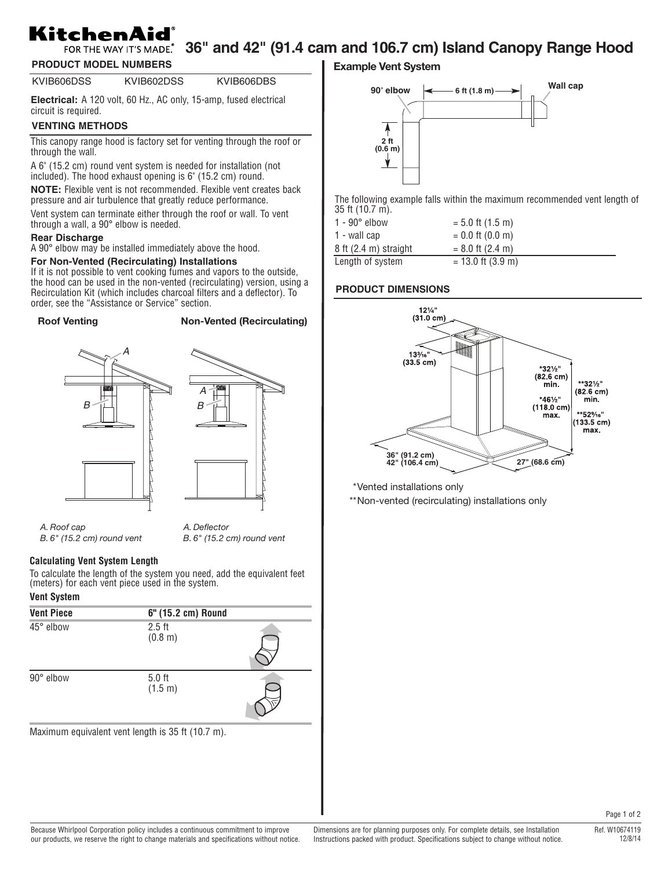# KitchenAid

## FOR THE WAY IT'S MADE. 36" and 42" (91.4 cam and 106.7 cm) Island Canopy Range Hood

**PRODUCT MODEL NUMBERS**

KVIB606DSS KVIB602DSS KVIB606DBS

**Electrical:** A 120 volt, 60 Hz., AC only, 15-amp, fused electrical circuit is required.

## **VENTING METHODS**

This canopy range hood is factory set for venting through the roof or through the wall.

A 6" (15.2 cm) round vent system is needed for installation (not included). The hood exhaust opening is 6" (15.2 cm) round.

**NOTE:** Flexible vent is not recommended. Flexible vent creates back pressure and air turbulence that greatly reduce performance.

Vent system can terminate either through the roof or wall. To vent through a wall, a 90° elbow is needed.

#### **Rear Discharge**

A 90° elbow may be installed immediately above the hood.

#### **For Non-Vented (Recirculating) Installations**

If it is not possible to vent cooking fumes and vapors to the outside, the hood can be used in the non-vented (recirculating) version, using a Recirculation Kit (which includes charcoal filters and a deflector). To order, see the "Assistance or Service" section.

#### **Roof Venting Non-Vented (Recirculating)**





*A. Roof cap B. 6" (15.2 cm) round vent*

*A. Deflector B. 6" (15.2 cm) round vent*

#### **Calculating Vent System Length**

To calculate the length of the system you need, add the equivalent feet (meters) for each vent piece used in the system.

## **Vent System**

| <b>Vent Piece</b> | 6" (15.2 cm) Round                                         |  |
|-------------------|------------------------------------------------------------|--|
| 45° elbow         | $2.5$ ft<br>(0.8 m)                                        |  |
| 90° elbow         | $5.0$ ft<br>(1.5 m)                                        |  |
|                   | Maximum equivalent vent length is $25 \text{ ft}$ (10.7 m) |  |

Maximum equivalent vent length is 35 ft (10.7 m).

**Example Vent System**



The following example falls within the maximum recommended vent length of 35 ft (10.7 m).

| 1 - 90° elbow                     | $= 5.0$ ft (1.5 m)  |
|-----------------------------------|---------------------|
| 1 - wall cap                      | $= 0.0$ ft (0.0 m)  |
| $8$ ft $(2.4 \text{ m})$ straight | $= 8.0$ ft (2.4 m)  |
| Length of system                  | $= 13.0$ ft (3.9 m) |

#### **PRODUCT DIMENSIONS**



\*Vented installations only

\*\*Non-vented (recirculating) installations only